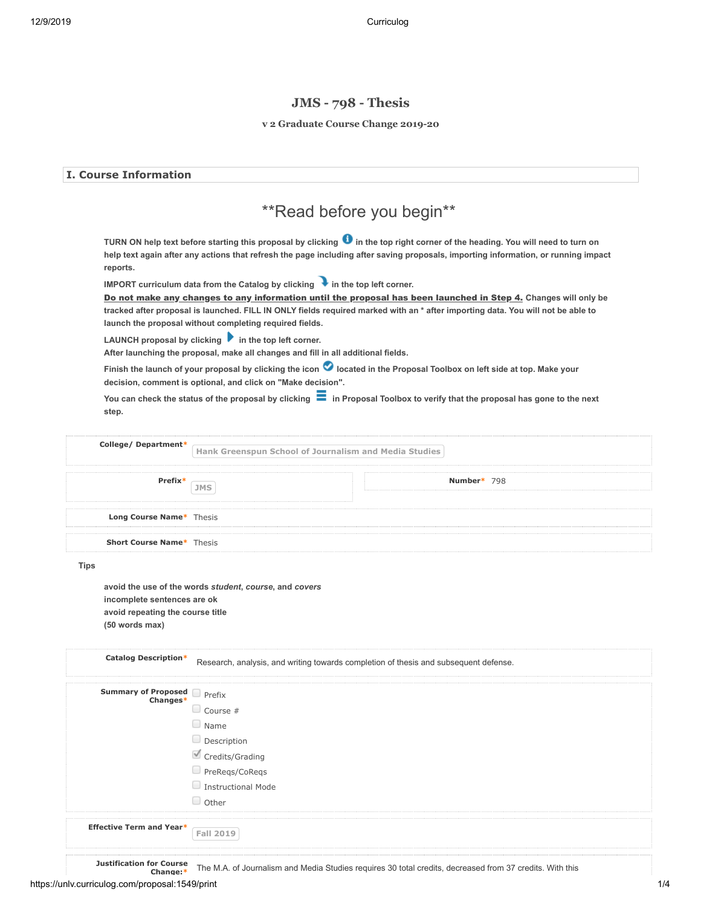# **JMS - 798 - Thesis**

#### **v 2 Graduate Course Change 2019-20**

| <b>I. Course Information</b>                                                      |                                                                                                                                                                                                                                                                                                                                                                                                                                                                                                                                                                                                                                                                                                                                                                                                                                                                                                                                                                                                                                                                                                                                                                                                              |  |  |  |
|-----------------------------------------------------------------------------------|--------------------------------------------------------------------------------------------------------------------------------------------------------------------------------------------------------------------------------------------------------------------------------------------------------------------------------------------------------------------------------------------------------------------------------------------------------------------------------------------------------------------------------------------------------------------------------------------------------------------------------------------------------------------------------------------------------------------------------------------------------------------------------------------------------------------------------------------------------------------------------------------------------------------------------------------------------------------------------------------------------------------------------------------------------------------------------------------------------------------------------------------------------------------------------------------------------------|--|--|--|
| ** Read before you begin**                                                        |                                                                                                                                                                                                                                                                                                                                                                                                                                                                                                                                                                                                                                                                                                                                                                                                                                                                                                                                                                                                                                                                                                                                                                                                              |  |  |  |
| reports.<br>step.                                                                 | TURN ON help text before starting this proposal by clicking $\bullet$ in the top right corner of the heading. You will need to turn on<br>help text again after any actions that refresh the page including after saving proposals, importing information, or running impact<br>IMPORT curriculum data from the Catalog by clicking $\blacktriangleright$ in the top left corner.<br>Do not make any changes to any information until the proposal has been launched in Step 4. Changes will only be<br>tracked after proposal is launched. FILL IN ONLY fields required marked with an * after importing data. You will not be able to<br>launch the proposal without completing required fields.<br>LAUNCH proposal by clicking $\blacktriangleright$ in the top left corner.<br>After launching the proposal, make all changes and fill in all additional fields.<br>Finish the launch of your proposal by clicking the icon O located in the Proposal Toolbox on left side at top. Make your<br>decision, comment is optional, and click on "Make decision".<br>You can check the status of the proposal by clicking $\blacksquare$ in Proposal Toolbox to verify that the proposal has gone to the next |  |  |  |
| College/Department*                                                               | Hank Greenspun School of Journalism and Media Studies                                                                                                                                                                                                                                                                                                                                                                                                                                                                                                                                                                                                                                                                                                                                                                                                                                                                                                                                                                                                                                                                                                                                                        |  |  |  |
| Prefix*                                                                           | Number* 798<br><b>JMS</b>                                                                                                                                                                                                                                                                                                                                                                                                                                                                                                                                                                                                                                                                                                                                                                                                                                                                                                                                                                                                                                                                                                                                                                                    |  |  |  |
| Long Course Name* Thesis                                                          |                                                                                                                                                                                                                                                                                                                                                                                                                                                                                                                                                                                                                                                                                                                                                                                                                                                                                                                                                                                                                                                                                                                                                                                                              |  |  |  |
| <b>Short Course Name*</b> Thesis                                                  |                                                                                                                                                                                                                                                                                                                                                                                                                                                                                                                                                                                                                                                                                                                                                                                                                                                                                                                                                                                                                                                                                                                                                                                                              |  |  |  |
| <b>Tips</b>                                                                       |                                                                                                                                                                                                                                                                                                                                                                                                                                                                                                                                                                                                                                                                                                                                                                                                                                                                                                                                                                                                                                                                                                                                                                                                              |  |  |  |
| incomplete sentences are ok<br>avoid repeating the course title<br>(50 words max) | avoid the use of the words student, course, and covers                                                                                                                                                                                                                                                                                                                                                                                                                                                                                                                                                                                                                                                                                                                                                                                                                                                                                                                                                                                                                                                                                                                                                       |  |  |  |
| <b>Catalog Description*</b>                                                       | Research, analysis, and writing towards completion of thesis and subsequent defense.                                                                                                                                                                                                                                                                                                                                                                                                                                                                                                                                                                                                                                                                                                                                                                                                                                                                                                                                                                                                                                                                                                                         |  |  |  |
| <b>Summary of Proposed Development</b><br>$Chandes*$                              | $\Box$ Course #<br>$\Box$ Name<br>Description<br>Credits/Grading<br>PreReqs/CoReqs<br>Instructional Mode<br>O Other                                                                                                                                                                                                                                                                                                                                                                                                                                                                                                                                                                                                                                                                                                                                                                                                                                                                                                                                                                                                                                                                                          |  |  |  |

**Effective Term and Year\* Fall 2019**

**Justification for Course**

**Change:\*** The M.A. of Journalism and Media Studies requires 30 total credits, decreased from 37 credits. With this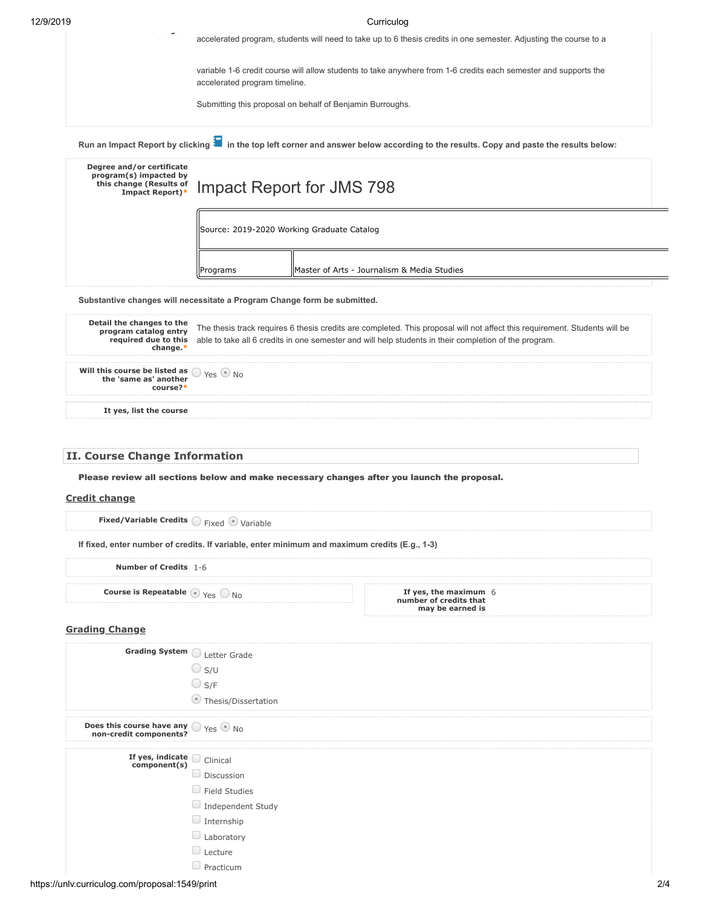| 12/9/2019 |  |
|-----------|--|
|           |  |

| 12/9/2019 | Curriculog                                                                                        |                                            |                                                                                                                                                     |  |
|-----------|---------------------------------------------------------------------------------------------------|--------------------------------------------|-----------------------------------------------------------------------------------------------------------------------------------------------------|--|
|           |                                                                                                   |                                            | accelerated program, students will need to take up to 6 thesis credits in one semester. Adjusting the course to a                                   |  |
|           |                                                                                                   | accelerated program timeline.              | variable 1-6 credit course will allow students to take anywhere from 1-6 credits each semester and supports the                                     |  |
|           |                                                                                                   |                                            | Submitting this proposal on behalf of Benjamin Burroughs.                                                                                           |  |
|           |                                                                                                   |                                            | Run an Impact Report by clicking $\blacksquare$ in the top left corner and answer below according to the results. Copy and paste the results below: |  |
|           | Degree and/or certificate<br>program(s) impacted by<br>this change (Results of<br>Impact Report)* |                                            | Impact Report for JMS 798                                                                                                                           |  |
|           |                                                                                                   | Source: 2019-2020 Working Graduate Catalog |                                                                                                                                                     |  |
|           |                                                                                                   | Programs                                   | lMaster of Arts - Journalism & Media Studies                                                                                                        |  |

**Substantive changes will necessitate a Program Change form be submitted.**

| Detail the changes to the<br>program catalog entry                                                             | The thesis track requires 6 thesis credits are completed. This proposal will not affect this requirement. Students will be<br>required due to this able to take all 6 credits in one semester and will help students in their completion of the program. |
|----------------------------------------------------------------------------------------------------------------|----------------------------------------------------------------------------------------------------------------------------------------------------------------------------------------------------------------------------------------------------------|
| <b>Will this course be listed as <math>\bigcirc</math></b> Yes $\bigcirc$ No the 'same as' another<br>course?* |                                                                                                                                                                                                                                                          |
| It yes, list the course                                                                                        |                                                                                                                                                                                                                                                          |

## **II. Course Change Information**

Please review all sections below and make necessary changes after you launch the proposal.

#### **Credit change**

| <b>Fixed/Variable Credits</b> $\bigcirc$ Fixed $\bigcirc$ Variable                            |
|-----------------------------------------------------------------------------------------------|
| If fixed, enter number of credits. If variable, enter minimum and maximum credits (E.g., 1-3) |

**Number of Credits** 1-6 **Course is Repeatable**  $\bigcirc$  <sub>Yes</sub>  $\bigcirc$  <sub>No</sub> If yes, the maximum 6 **number of credits that may be earned is**

## **Grading Change**

| Grading System Letter Grade                                                                  |                      |     |
|----------------------------------------------------------------------------------------------|----------------------|-----|
|                                                                                              | $\bigcirc$ s/u       |     |
|                                                                                              | $\bigcirc$ S/F       |     |
|                                                                                              | Thesis/Dissertation  |     |
| <b>Does this course have any <math>\bigcirc</math></b> Yes $\circ$ No non-credit components? |                      |     |
| If yes, indicate clinical<br>component(s)                                                    |                      |     |
|                                                                                              | Discussion           |     |
|                                                                                              | $\Box$ Field Studies |     |
|                                                                                              | Independent Study    |     |
|                                                                                              | $\Box$ Internship    |     |
|                                                                                              | Laboratory           |     |
|                                                                                              | $\Box$ Lecture       |     |
|                                                                                              | $\Box$ Practicum     |     |
| https://unlv.curriculog.com/proposal:1549/print                                              |                      | 2/4 |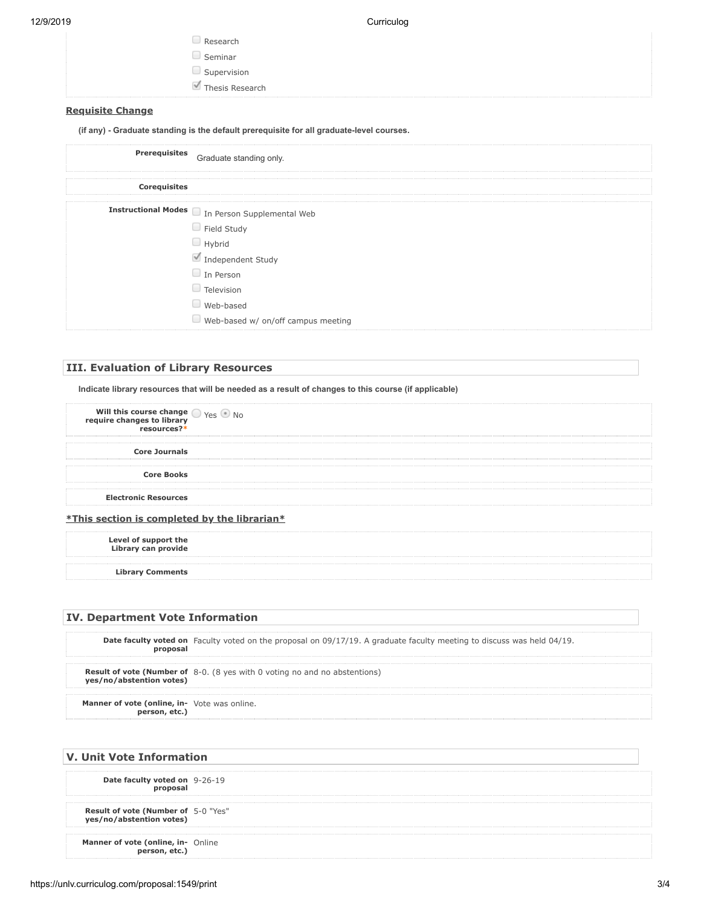12/9/2019 Curriculog

| $\Box$ Research |
|-----------------|
| $\Box$ Seminar  |
| Supervision     |
| Thesis Research |

#### **Requisite Change**

**(if any) - Graduate standing is the default prerequisite for all graduate-level courses.**

### **III. Evaluation of Library Resources**

**Indicate library resources that will be needed as a result of changes to this course (if applicable)**

| Will this course change $\bigcirc$ $\gamma$ es $\bigcirc$ No<br>require changes to library<br>resources?* |  |
|-----------------------------------------------------------------------------------------------------------|--|
| <b>Core Journals</b>                                                                                      |  |
| <b>Core Books</b>                                                                                         |  |
| <b>Electronic Resources</b>                                                                               |  |
| <i>*This section is completed by the librarian*</i>                                                       |  |

**Level of support the Library can provide**

**Library Comments**

## **IV. Department Vote Information**

|                                              | <b>Date faculty voted on</b> Faculty voted on the proposal on 09/17/19. A graduate faculty meeting to discuss was held 04/19. |
|----------------------------------------------|-------------------------------------------------------------------------------------------------------------------------------|
| ves/no/abstention votes)                     | <b>Result of vote (Number of</b> $8-0$ . (8 yes with 0 voting no and no abstentions)                                          |
| Manner of vote (online, in- Vote was online. |                                                                                                                               |

## **V. Unit Vote Information**

**Date faculty voted on** 9-26-19 **proposal**

**Result of vote (Number of** 5-0 "Yes" **yes/no/abstention votes)**

**Manner of vote (online, in-** Online<br>**person, etc.)**